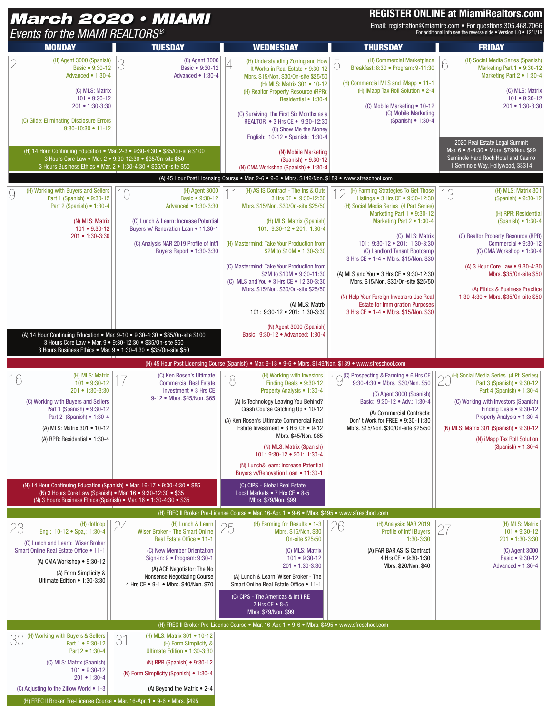## **REGISTER ONLINE at MiamiRealtors.com**

| Events for the MIAMI REALTORS®                                                                                                                                                                                                  | <b>March 2020 • MIAMI</b>                                                                                                                                                                                                                                   |                                                                                                                                                                                                                                                                                                                                                                                                                                                                                                             |                                                                                                                                                                                                                                                                                                                                                                                                          | <b>REGISTER ONLINE at MiamiRealtors.com</b><br>Email: registration@miamire.com • For questions 305.468.7066<br>For additional info see the reverse side . Version 1.0 . 12/1/19                                                                                                                                                                   |  |
|---------------------------------------------------------------------------------------------------------------------------------------------------------------------------------------------------------------------------------|-------------------------------------------------------------------------------------------------------------------------------------------------------------------------------------------------------------------------------------------------------------|-------------------------------------------------------------------------------------------------------------------------------------------------------------------------------------------------------------------------------------------------------------------------------------------------------------------------------------------------------------------------------------------------------------------------------------------------------------------------------------------------------------|----------------------------------------------------------------------------------------------------------------------------------------------------------------------------------------------------------------------------------------------------------------------------------------------------------------------------------------------------------------------------------------------------------|---------------------------------------------------------------------------------------------------------------------------------------------------------------------------------------------------------------------------------------------------------------------------------------------------------------------------------------------------|--|
| <b>MONDAY</b><br><b>TUESDAY</b>                                                                                                                                                                                                 |                                                                                                                                                                                                                                                             | <b>WEDNESDAY</b>                                                                                                                                                                                                                                                                                                                                                                                                                                                                                            | <b>THURSDAY</b>                                                                                                                                                                                                                                                                                                                                                                                          | <b>FRIDAY</b>                                                                                                                                                                                                                                                                                                                                     |  |
| (H) Agent 3000 (Spanish)<br>2<br>Basic • 9:30-12<br>Advanced • 1:30-4<br>(C) MLS: Matrix<br>$101 • 9:30-12$<br>201 • 1:30-3:30<br>(C) Glide: Eliminating Disclosure Errors<br>$9:30-10:30 \cdot 11-12$                          | (C) Agent 3000<br>3<br>Basic • 9:30-12<br>Advanced $\bullet$ 1:30-4                                                                                                                                                                                         | (H) Understanding Zoning and How<br>4<br>It Works in Real Estate . 9:30-12<br>Mbrs. \$15/Non. \$30/0n-site \$25/50<br>(H) MLS: Matrix 301 • 10-12<br>(H) Realtor Property Resource (RPR):<br>Residential • 1:30-4<br>(C) Surviving the First Six Months as a<br>REALTOR • 3 Hrs CE • 9:30-12:30<br>(C) Show Me the Money                                                                                                                                                                                    | (H) Commercial Marketplace<br>厂<br>Breakfast: 8:30 · Program: 9-11:30<br>U<br>(H) Commercial MLS and iMapp • 11-1<br>(H) iMapp Tax Roll Solution • 2-4<br>(C) Mobile Marketing • 10-12<br>(C) Mobile Marketing<br>(Spanish) $\bullet$ 1:30-4                                                                                                                                                             | (H) Social Media Series (Spanish)<br>6<br>Marketing Part 1 • 9:30-12<br>Marketing Part 2 • 1:30-4<br>(C) MLS: Matrix<br>$101 • 9:30-12$<br>201 • 1:30-3:30                                                                                                                                                                                        |  |
|                                                                                                                                                                                                                                 | (H) 14 Hour Continuing Education • Mar. 2-3 • 9:30-4:30 • \$85/0n-site \$100<br>3 Hours Core Law • Mar. 2 • 9:30-12:30 • \$35/0n-site \$50<br>3 Hours Business Ethics • Mar. 2 • 1:30-4:30 • \$35/0n-site \$50                                              | English: 10-12 • Spanish: 1:30-4<br>(N) Mobile Marketing<br>(Spanish) • 9:30-12<br>(N) CMA Workshop (Spanish) • 1:30-4                                                                                                                                                                                                                                                                                                                                                                                      |                                                                                                                                                                                                                                                                                                                                                                                                          | 2020 Real Estate Legal Summit<br>Mar. 6 . 8-4:30 . Mbrs. \$79/Non. \$99<br>Seminole Hard Rock Hotel and Casino<br>1 Seminole Way, Hollywood, 33314                                                                                                                                                                                                |  |
| (H) Working with Buyers and Sellers<br>9<br>Part 1 (Spanish) • 9:30-12<br>Part 2 (Spanish) • 1:30-4<br>(N) MLS: Matrix<br>$101 - 9:30 - 12$<br>201 • 1:30-3:30                                                                  | (H) Agent 3000<br>Basic • 9:30-12<br>Advanced • 1:30-3:30<br>(C) Lunch & Learn: Increase Potential<br>Buyers w/ Renovation Loan . 11:30-1<br>(C) Analysis NAR 2019 Profile of Int'l<br>Buyers Report • 1:30-3:30                                            | (A) 45 Hour Post Licensing Course . Mar. 2-6 . 9-6 . Mbrs. \$149/Non. \$189 . www.sfreschool.com<br>(H) AS IS Contract - The Ins & Outs<br>3 Hrs CE • 9:30-12:30<br>Mbrs. \$15/Non. \$30/0n-site \$25/50<br>(H) MLS: Matrix (Spanish)<br>101: 9:30-12 • 201: 1:30-4<br>(H) Mastermind: Take Your Production from<br>\$2M to \$10M • 1:30-3:30<br>(C) Mastermind: Take Your Production from<br>\$2M to \$10M . 9:30-11:30<br>(C) MLS and You • 3 Hrs CE • 12:30-3:30<br>Mbrs. \$15/Non. \$30/0n-site \$25/50 | (H) Farming Strategies To Get Those<br>∠<br>Listings • 3 Hrs CE • 9:30-12:30<br>(H) Social Media Series (4 Part Series)<br>Marketing Part $1 \cdot 9:30-12$<br>Marketing Part 2 . 1:30-4<br>(C) MLS: Matrix<br>101: 9:30-12 . 201: 1:30-3:30<br>(C) Landlord Tenant Bootcamp<br>3 Hrs CE • 1-4 • Mbrs. \$15/Non. \$30<br>(A) MLS and You • 3 Hrs CE • 9:30-12:30<br>Mbrs. \$15/Non. \$30/0n-site \$25/50 | (H) MLS: Matrix 301<br>13<br>(Spanish) • 9:30-12<br>(H) RPR: Residential<br>(Spanish) $\bullet$ 1:30-4<br>(C) Realtor Property Resource (RPR)<br>Commercial • 9:30-12<br>(C) CMA Workshop $\bullet$ 1:30-4<br>(A) 3 Hour Core Law • 9:30-4:30<br>Mbrs. \$35/0n-site \$50<br>(A) Ethics & Business Practice<br>1:30-4:30 • Mbrs. \$35/0n-site \$50 |  |
|                                                                                                                                                                                                                                 | (A) 14 Hour Continuing Education • Mar. 9-10 • 9:30-4:30 • \$85/0n-site \$100<br>3 Hours Core Law • Mar. 9 • 9:30-12:30 • \$35/0n-site \$50<br>3 Hours Business Ethics • Mar. 9 • 1:30-4:30 • \$35/0n-site \$50                                             | (A) MLS: Matrix<br>101: 9:30-12 • 201: 1:30-3:30<br>(N) Agent 3000 (Spanish)<br>Basic: 9:30-12 · Advanced: 1:30-4<br>(N) 45 Hour Post Licensing Course (Spanish) • Mar. 9-13 • 9-6 • Mbrs. \$149/Non. \$189 • www.sfreschool.com                                                                                                                                                                                                                                                                            | (N) Help Your Foreign Investors Use Real<br><b>Estate for Immigration Purposes</b><br>3 Hrs CE • 1-4 • Mbrs. \$15/Non. \$30                                                                                                                                                                                                                                                                              |                                                                                                                                                                                                                                                                                                                                                   |  |
| (H) MLS: Matrix<br>16<br>$101 - 9:30 - 12$<br>201 • 1:30-3:30<br>(C) Working with Buyers and Sellers<br>Part 1 (Spanish) • 9:30-12<br>Part 2 (Spanish) • 1:30-4<br>(A) MLS: Matrix 301 • 10-12<br>(A) RPR: Residential • 1:30-4 | (C) Ken Rosen's Ultimate<br><b>Commercial Real Estate</b><br>Investment • 3 Hrs CE<br>9-12 • Mbrs. \$45/Non. \$65                                                                                                                                           | (H) Working with Investors<br>8<br>Finding Deals • 9:30-12<br>Property Analysis • 1:30-4<br>(A) Is Technology Leaving You Behind?<br>Crash Course Catching Up • 10-12<br>(A) Ken Rosen's Ultimate Commercial Real<br>Estate Investment • 3 Hrs CE • 9-12<br>Mbrs. \$45/Non. \$65<br>(N) MLS: Matrix (Spanish)<br>101: 9:30-12 • 201: 1:30-4<br>(N) Lunch&Learn: Increase Potential<br>Buyers w/Renovation Loan • 11:30-1                                                                                    | $\bigcup$ C) Prospecting & Farming $\bullet$ 6 Hrs CE 9:30-4:30 $\bullet$ Mbro 600 B<br>(C) Agent 3000 (Spanish)<br>Basic: 9:30-12 . Adv.: 1:30-4<br>(A) Commercial Contracts:<br>Don't Work for FREE . 9:30-11:30<br>Mbrs. \$15/Non. \$30/0n-site \$25/50                                                                                                                                               | (H) Social Media Series (4 Pt. Series)<br>∩<br>Part 3 (Spanish) • 9:30-12<br>ZU<br>Part 4 (Spanish) • 1:30-4<br>(C) Working with Investors (Spanish)<br>Finding Deals • 9:30-12<br>Property Analysis • 1:30-4<br>(N) MLS: Matrix 301 (Spanish) • 9:30-12<br>(N) iMapp Tax Roll Solution<br>(Spanish) • 1:30-4                                     |  |
|                                                                                                                                                                                                                                 | (N) 14 Hour Continuing Education (Spanish) • Mar. 16-17 • 9:30-4:30 • \$85<br>(N) 3 Hours Core Law (Spanish) • Mar. 16 • 9:30-12:30 • \$35<br>(N) 3 Hours Business Ethics (Spanish) • Mar. 16 • 1:30-4:30 • \$35                                            | (C) CIPS - Global Real Estate<br>Local Markets • 7 Hrs CE • 8-5<br>Mbrs. \$79/Non. \$99<br>(H) FREC II Broker Pre-License Course • Mar. 16-Apr. 1 • 9-6 • Mbrs. \$495 • www.sfreschool.com                                                                                                                                                                                                                                                                                                                  |                                                                                                                                                                                                                                                                                                                                                                                                          |                                                                                                                                                                                                                                                                                                                                                   |  |
| (H) dotloop<br>23<br>Eng.: 10-12 · Spa.: 1:30-4<br>(C) Lunch and Learn: Wiser Broker<br>Smart Online Real Estate Office . 11-1<br>(A) CMA Workshop $\bullet$ 9:30-12<br>(A) Form Simplicity &<br>Ultimate Edition • 1:30-3:30   | 24<br>(H) Lunch & Learn<br>Wiser Broker - The Smart Online<br>Real Estate Office . 11-1<br>(C) New Member Orientation<br>Sign-in: 9 • Program: 9:30-1<br>(A) ACE Negotiator: The No<br>Nonsense Negotiating Course<br>4 Hrs CE . 9-1 . Mbrs. \$40/Non. \$70 | (H) Farming for Results • 1-3<br>25<br>Mbrs. \$15/Non. \$30<br>On-site \$25/50<br>(C) MLS: Matrix<br>$101 • 9:30-12$<br>201 • 1:30-3:30<br>(A) Lunch & Learn: Wiser Broker - The<br>Smart Online Real Estate Office . 11-1<br>(C) CIPS - The Americas & Int'l RE<br>7 Hrs CE $\bullet$ 8-5<br>Mbrs. \$79/Non. \$99                                                                                                                                                                                          | 26<br>(H) Analysis: NAR 2019<br>Profile of Int'l Buyers<br>1:30-3:30<br>(A) FAR BAR AS IS Contract<br>4 Hrs CE . 9:30-1:30<br>Mbrs. \$20/Non. \$40                                                                                                                                                                                                                                                       | (H) MLS: Matrix<br>$2^{-}$<br>$101 - 9:30 - 12$<br>201 • 1:30-3:30<br>(C) Agent 3000<br>Basic • 9:30-12<br>Advanced • 1:30-4                                                                                                                                                                                                                      |  |
| (H) Working with Buyers & Sellers                                                                                                                                                                                               | (H) MLS: Matrix 301 • 10-12                                                                                                                                                                                                                                 | (H) FREC II Broker Pre-License Course . Mar. 16-Apr. 1 . 9-6 . Mbrs. \$495 . www.sfreschool.com                                                                                                                                                                                                                                                                                                                                                                                                             |                                                                                                                                                                                                                                                                                                                                                                                                          |                                                                                                                                                                                                                                                                                                                                                   |  |
| 30<br>Part 1 • 9:30-12<br>Part 2 • 1:30-4<br>(C) MLS: Matrix (Spanish)<br>$101 • 9:30-12$<br>$201 • 1:30-4$<br>(C) Adjusting to the Zillow World • 1-3                                                                          | 31<br>(H) Form Simplicity &<br>Ultimate Edition . 1:30-3:30<br>(N) RPR (Spanish) • 9:30-12<br>(N) Form Simplicity (Spanish) • 1:30-4<br>(A) Beyond the Matrix $\bullet$ 2-4                                                                                 |                                                                                                                                                                                                                                                                                                                                                                                                                                                                                                             |                                                                                                                                                                                                                                                                                                                                                                                                          |                                                                                                                                                                                                                                                                                                                                                   |  |

(H) FREC II Broker Pre-License Course • Mar. 16-Apr. 1 • 9-6 • Mbrs. \$495